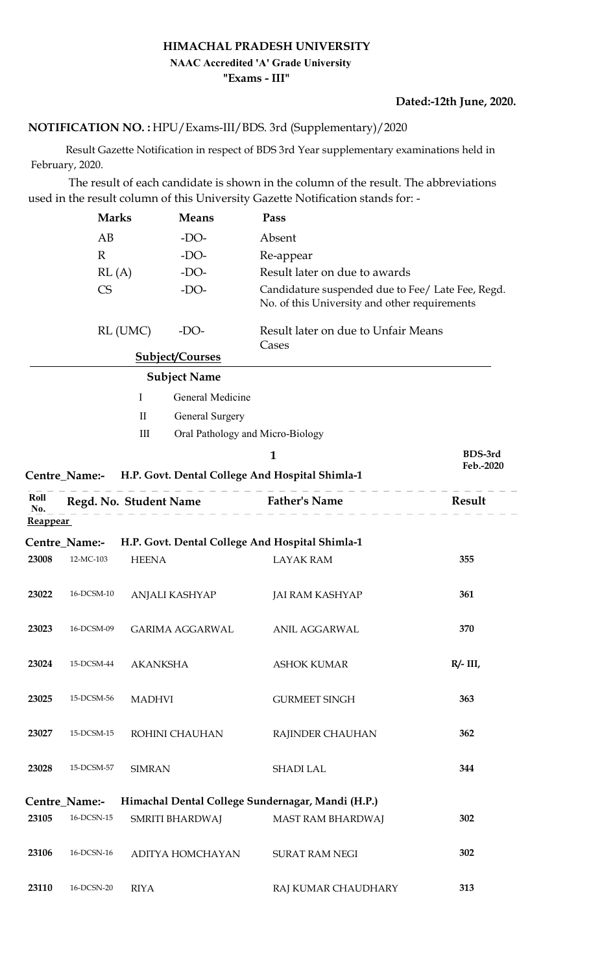### HIMACHAL PRADESH UNIVERSITY "Exams - III" NAAC Accredited 'A' Grade University

#### Dated:-12th June, 2020.

## NOTIFICATION NO. : HPU/Exams-III/BDS. 3rd (Supplementary)/2020

 Result Gazette Notification in respect of BDS 3rd Year supplementary examinations held in February, 2020.

 The result of each candidate is shown in the column of the result. The abbreviations used in the result column of this University Gazette Notification stands for: -

|                 | <b>Marks</b>             |                        | <b>Means</b>                     | Pass                                                                                               |             |  |
|-----------------|--------------------------|------------------------|----------------------------------|----------------------------------------------------------------------------------------------------|-------------|--|
|                 | AB                       |                        | $-DO-$                           | Absent                                                                                             |             |  |
|                 | $\mathbb{R}$             |                        | $-DO-$                           | Re-appear                                                                                          |             |  |
|                 | RL(A)                    |                        | $-DO-$                           | Result later on due to awards                                                                      |             |  |
|                 | $\mathop{\mbox{\rm CS}}$ |                        | $-DO-$                           | Candidature suspended due to Fee/ Late Fee, Regd.<br>No. of this University and other requirements |             |  |
|                 |                          | RL (UMC)<br>$-DO-$     |                                  | Result later on due to Unfair Means<br>Cases                                                       |             |  |
|                 |                          |                        | <b>Subject/Courses</b>           |                                                                                                    |             |  |
|                 |                          |                        | <b>Subject Name</b>              |                                                                                                    |             |  |
|                 |                          | $\bf{I}$               | General Medicine                 |                                                                                                    |             |  |
|                 |                          | $\mathbf{I}$           | General Surgery                  |                                                                                                    |             |  |
|                 |                          | $\rm III$              | Oral Pathology and Micro-Biology |                                                                                                    |             |  |
|                 |                          |                        |                                  | $\mathbf{1}$                                                                                       | BDS-3rd     |  |
|                 |                          |                        |                                  | Centre_Name:- H.P. Govt. Dental College And Hospital Shimla-1                                      | Feb.-2020   |  |
| Roll<br>No.     |                          | Regd. No. Student Name |                                  | <b>Father's Name</b>                                                                               | Result      |  |
| <b>Reappear</b> |                          |                        |                                  |                                                                                                    |             |  |
|                 | Centre_Name:-            |                        |                                  | H.P. Govt. Dental College And Hospital Shimla-1                                                    |             |  |
| 23008           | 12-MC-103                | <b>HEENA</b>           |                                  | <b>LAYAK RAM</b>                                                                                   | 355         |  |
| 23022           | 16-DCSM-10               |                        | ANJALI KASHYAP                   | <b>JAI RAM KASHYAP</b>                                                                             | 361         |  |
| 23023           | 16-DCSM-09               |                        | <b>GARIMA AGGARWAL</b>           | ANIL AGGARWAL                                                                                      | 370         |  |
| 23024           | 15-DCSM-44               | <b>AKANKSHA</b>        |                                  | <b>ASHOK KUMAR</b>                                                                                 | $R/- III$ , |  |
| 23025           | 15-DCSM-56               | <b>MADHVI</b>          |                                  | <b>GURMEET SINGH</b>                                                                               | 363         |  |
| 23027           | 15-DCSM-15               |                        | ROHINI CHAUHAN                   | RAJINDER CHAUHAN                                                                                   | 362         |  |
| 23028           | 15-DCSM-57               | <b>SIMRAN</b>          |                                  | SHADI LAL                                                                                          | 344         |  |
|                 | Centre_Name:-            |                        |                                  | Himachal Dental College Sundernagar, Mandi (H.P.)                                                  |             |  |
| 23105           | $16$ -DCSN- $15$         |                        | SMRITI BHARDWAJ                  | MAST RAM BHARDWAJ                                                                                  | 302         |  |
| 23106           | 16-DCSN-16               |                        | ADITYA HOMCHAYAN                 | SURAT RAM NEGI                                                                                     | 302         |  |
| 23110           | 16-DCSN-20               | <b>RIYA</b>            |                                  | RAJ KUMAR CHAUDHARY                                                                                | 313         |  |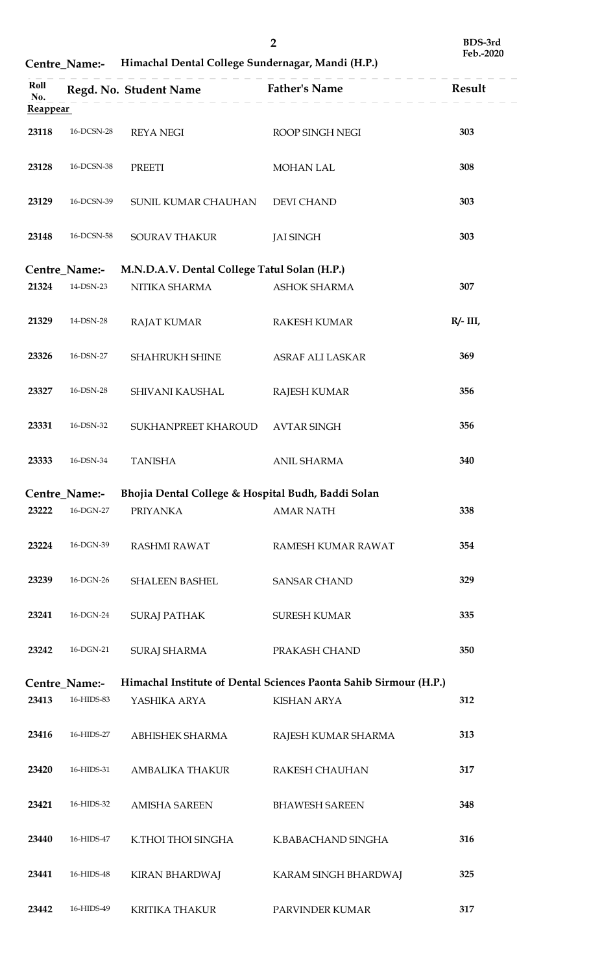|                        |                             |                                                    | $\overline{2}$                                                    | BDS-3rd<br>Feb.-2020 |
|------------------------|-----------------------------|----------------------------------------------------|-------------------------------------------------------------------|----------------------|
| Roll                   | Centre_Name:-               | Himachal Dental College Sundernagar, Mandi (H.P.)  | <b>Father's Name</b>                                              | Result               |
| No.<br><b>Reappear</b> |                             | Regd. No. Student Name                             |                                                                   |                      |
| 23118                  | 16-DCSN-28                  | <b>REYA NEGI</b>                                   | ROOP SINGH NEGI                                                   | 303                  |
| 23128                  | 16-DCSN-38<br>PREETI        |                                                    | MOHAN LAL                                                         | 308                  |
| 23129                  | 16-DCSN-39                  | SUNIL KUMAR CHAUHAN                                | <b>DEVI CHAND</b>                                                 | 303                  |
| 23148                  | 16-DCSN-58<br>SOURAV THAKUR |                                                    | <b>JAI SINGH</b>                                                  | 303                  |
|                        | Centre_Name:-               | M.N.D.A.V. Dental College Tatul Solan (H.P.)       |                                                                   |                      |
| 21324                  | $14$ -DSN-23 $\,$           | NITIKA SHARMA                                      | ASHOK SHARMA                                                      | 307                  |
| 21329                  | 14-DSN-28                   | <b>RAJAT KUMAR</b>                                 | <b>RAKESH KUMAR</b>                                               | $R/- III$ ,          |
| 23326                  | $16$ -DSN-27                | SHAHRUKH SHINE                                     | ASRAF ALI LASKAR                                                  | 369                  |
| 23327                  | 16-DSN-28                   | SHIVANI KAUSHAL                                    | <b>RAJESH KUMAR</b>                                               | 356                  |
| 23331                  | $16$ -DSN-32 $\,$           | SUKHANPREET KHAROUD                                | <b>AVTAR SINGH</b>                                                | 356                  |
| 23333                  | $16$ -DSN-34                | <b>TANISHA</b>                                     | ANIL SHARMA                                                       | 340                  |
|                        | Centre_Name:-               | Bhojia Dental College & Hospital Budh, Baddi Solan |                                                                   |                      |
| 23222                  | $16$ -DGN-27 $\,$           | <b>PRIYANKA</b>                                    | <b>AMAR NATH</b>                                                  | 338                  |
| 23224                  | 16-DGN-39                   | RASHMI RAWAT                                       | RAMESH KUMAR RAWAT                                                | 354                  |
| 23239                  | $16$ -DGN-26 $\,$           | <b>SHALEEN BASHEL</b>                              | <b>SANSAR CHAND</b>                                               | 329                  |
| 23241                  | $16$ -DGN-24 $\,$           | <b>SURAJ PATHAK</b>                                | SURESH KUMAR                                                      | 335                  |
| 23242                  | 16-DGN-21                   | <b>SURAJ SHARMA</b>                                | PRAKASH CHAND                                                     | 350                  |
|                        | Centre_Name:-               |                                                    | Himachal Institute of Dental Sciences Paonta Sahib Sirmour (H.P.) |                      |
| 23413                  | 16-HIDS-83                  | YASHIKA ARYA                                       | <b>KISHAN ARYA</b>                                                | 312                  |
| 23416                  | 16-HIDS-27                  | ABHISHEK SHARMA                                    | RAJESH KUMAR SHARMA                                               | 313                  |
| 23420                  | 16-HIDS-31                  | AMBALIKA THAKUR                                    | RAKESH CHAUHAN                                                    | 317                  |
| 23421                  | 16-HIDS-32                  | <b>AMISHA SAREEN</b>                               | <b>BHAWESH SAREEN</b>                                             | 348                  |
| 23440                  | 16-HIDS-47                  | K.THOI THOI SINGHA                                 | K.BABACHAND SINGHA                                                | 316                  |
| 23441                  | 16-HIDS-48                  | <b>KIRAN BHARDWAJ</b>                              | KARAM SINGH BHARDWAJ                                              | 325                  |
| 23442                  | 16-HIDS-49                  | KRITIKA THAKUR                                     | PARVINDER KUMAR                                                   | 317                  |